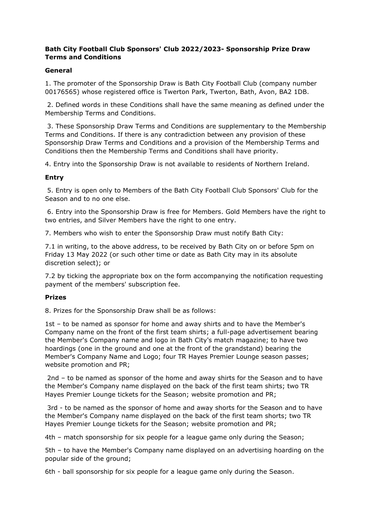# **Bath City Football Club Sponsors' Club 2022/2023- Sponsorship Prize Draw Terms and Conditions**

## **General**

1. The promoter of the Sponsorship Draw is Bath City Football Club (company number 00176565) whose registered office is Twerton Park, Twerton, Bath, Avon, BA2 1DB.

2. Defined words in these Conditions shall have the same meaning as defined under the Membership Terms and Conditions.

3. These Sponsorship Draw Terms and Conditions are supplementary to the Membership Terms and Conditions. If there is any contradiction between any provision of these Sponsorship Draw Terms and Conditions and a provision of the Membership Terms and Conditions then the Membership Terms and Conditions shall have priority.

4. Entry into the Sponsorship Draw is not available to residents of Northern Ireland.

### **Entry**

5. Entry is open only to Members of the Bath City Football Club Sponsors' Club for the Season and to no one else.

6. Entry into the Sponsorship Draw is free for Members. Gold Members have the right to two entries, and Silver Members have the right to one entry.

7. Members who wish to enter the Sponsorship Draw must notify Bath City:

7.1 in writing, to the above address, to be received by Bath City on or before 5pm on Friday 13 May 2022 (or such other time or date as Bath City may in its absolute discretion select); or

7.2 by ticking the appropriate box on the form accompanying the notification requesting payment of the members' subscription fee.

## **Prizes**

8. Prizes for the Sponsorship Draw shall be as follows:

1st – to be named as sponsor for home and away shirts and to have the Member's Company name on the front of the first team shirts; a full-page advertisement bearing the Member's Company name and logo in Bath City's match magazine; to have two hoardings (one in the ground and one at the front of the grandstand) bearing the Member's Company Name and Logo; four TR Hayes Premier Lounge season passes; website promotion and PR;

2nd – to be named as sponsor of the home and away shirts for the Season and to have the Member's Company name displayed on the back of the first team shirts; two TR Hayes Premier Lounge tickets for the Season; website promotion and PR;

3rd - to be named as the sponsor of home and away shorts for the Season and to have the Member's Company name displayed on the back of the first team shorts; two TR Hayes Premier Lounge tickets for the Season; website promotion and PR;

4th – match sponsorship for six people for a league game only during the Season;

5th – to have the Member's Company name displayed on an advertising hoarding on the popular side of the ground;

6th - ball sponsorship for six people for a league game only during the Season.